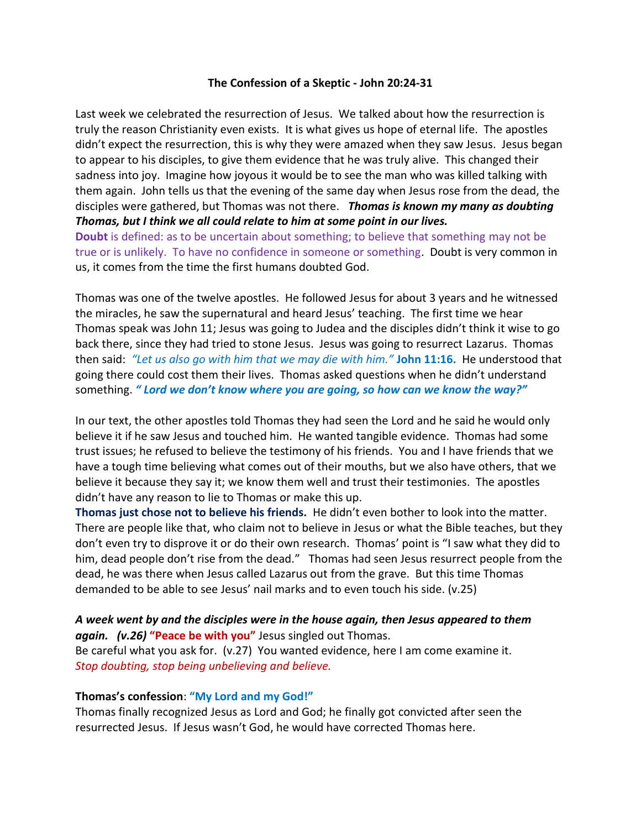### **The Confession of a Skeptic - John 20:24-31**

Last week we celebrated the resurrection of Jesus. We talked about how the resurrection is truly the reason Christianity even exists. It is what gives us hope of eternal life. The apostles didn't expect the resurrection, this is why they were amazed when they saw Jesus. Jesus began to appear to his disciples, to give them evidence that he was truly alive. This changed their sadness into joy. Imagine how joyous it would be to see the man who was killed talking with them again. John tells us that the evening of the same day when Jesus rose from the dead, the disciples were gathered, but Thomas was not there. *Thomas is known my many as doubting Thomas, but I think we all could relate to him at some point in our lives.*

**Doubt** is defined: as to be uncertain about something; to believe that something may not be true or is unlikely. To have no confidence in someone or something. Doubt is very common in us, it comes from the time the first humans doubted God.

Thomas was one of the twelve apostles. He followed Jesus for about 3 years and he witnessed the miracles, he saw the supernatural and heard Jesus' teaching. The first time we hear Thomas speak was John 11; Jesus was going to Judea and the disciples didn't think it wise to go back there, since they had tried to stone Jesus. Jesus was going to resurrect Lazarus. Thomas then said: *"Let us also go with him that we may die with him."* **John 11:16.** He understood that going there could cost them their lives. Thomas asked questions when he didn't understand something. *" Lord we don't know where you are going, so how can we know the way?"*

In our text, the other apostles told Thomas they had seen the Lord and he said he would only believe it if he saw Jesus and touched him. He wanted tangible evidence. Thomas had some trust issues; he refused to believe the testimony of his friends. You and I have friends that we have a tough time believing what comes out of their mouths, but we also have others, that we believe it because they say it; we know them well and trust their testimonies. The apostles didn't have any reason to lie to Thomas or make this up.

**Thomas just chose not to believe his friends.** He didn't even bother to look into the matter. There are people like that, who claim not to believe in Jesus or what the Bible teaches, but they don't even try to disprove it or do their own research. Thomas' point is "I saw what they did to him, dead people don't rise from the dead." Thomas had seen Jesus resurrect people from the dead, he was there when Jesus called Lazarus out from the grave. But this time Thomas demanded to be able to see Jesus' nail marks and to even touch his side. (v.25)

# *A week went by and the disciples were in the house again, then Jesus appeared to them again. (v.26)* **"Peace be with you"** Jesus singled out Thomas.

Be careful what you ask for. (v.27) You wanted evidence, here I am come examine it. *Stop doubting, stop being unbelieving and believe.*

# **Thomas's confession**: **"My Lord and my God!"**

Thomas finally recognized Jesus as Lord and God; he finally got convicted after seen the resurrected Jesus. If Jesus wasn't God, he would have corrected Thomas here.